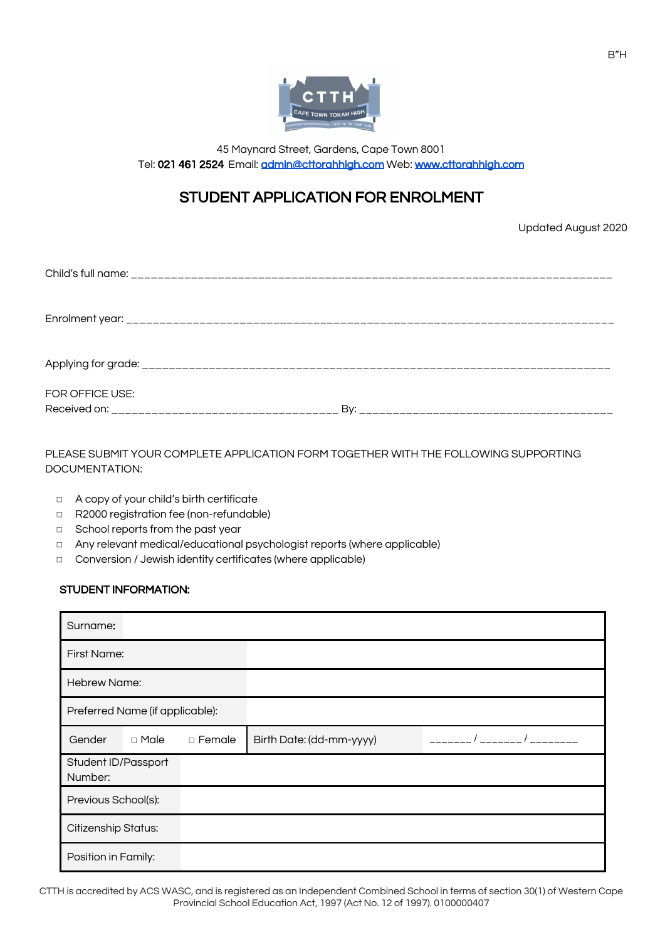

45 Maynard Street, Gardens, Cape Town 8001 Tel: 021 461 2524 Email: [admin@cttorahhigh.com](mailto:admin@cttorahhigh.com) Web: [www.cttorahhigh.com](http://www.cttorahhigh.com/)

# STUDENT APPLICATION FOR ENROLMENT

Updated August 2020

| FOR OFFICE USE: |  |
|-----------------|--|

PLEASE SUBMIT YOUR COMPLETE APPLICATION FORM TOGETHER WITH THE FOLLOWING SUPPORTING DOCUMENTATION:

- ◻ A copy of your child's birth certificate
- ◻ R2000 registration fee (non-refundable)
- ◻ School reports from the past year
- ◻ Any relevant medical/educational psychologist reports (where applicable)
- ◻ Conversion / Jewish identity certificates (where applicable)

### STUDENT INFORMATION:

| Surname:                        |             |          |                          |  |
|---------------------------------|-------------|----------|--------------------------|--|
|                                 | First Name: |          |                          |  |
| <b>Hebrew Name:</b>             |             |          |                          |  |
| Preferred Name (if applicable): |             |          |                          |  |
| Gender                          | □ Male      | □ Female | Birth Date: (dd-mm-yyyy) |  |
| Student ID/Passport<br>Number:  |             |          |                          |  |
| Previous School(s):             |             |          |                          |  |
| Citizenship Status:             |             |          |                          |  |
| Position in Family:             |             |          |                          |  |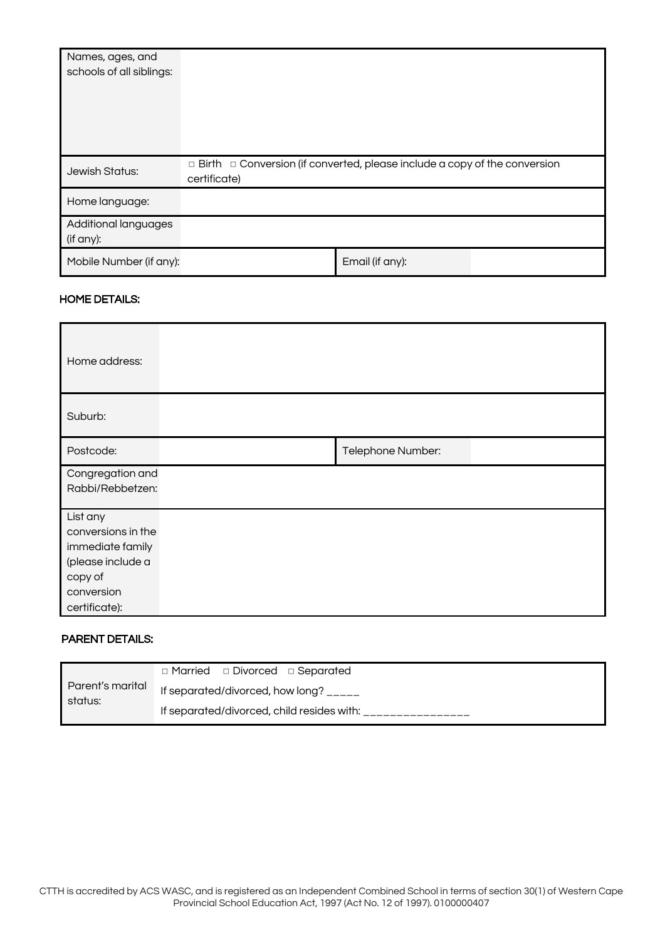| Names, ages, and<br>schools of all siblings: |                                                                                                       |                 |  |
|----------------------------------------------|-------------------------------------------------------------------------------------------------------|-----------------|--|
| Jewish Status:                               | $\Box$ Birth $\Box$ Conversion (if converted, please include a copy of the conversion<br>certificate) |                 |  |
| Home language:                               |                                                                                                       |                 |  |
| Additional languages<br>(if any):            |                                                                                                       |                 |  |
| Mobile Number (if any):                      |                                                                                                       | Email (if any): |  |

### HOME DETAILS:

| Home address:                                                                                                     |                   |
|-------------------------------------------------------------------------------------------------------------------|-------------------|
| Suburb:                                                                                                           |                   |
| Postcode:                                                                                                         | Telephone Number: |
| Congregation and<br>Rabbi/Rebbetzen:                                                                              |                   |
| List any<br>conversions in the<br>immediate family<br>(please include a<br>copy of<br>conversion<br>certificate): |                   |

# PARENT DETAILS:

| Parent's marital<br>status: | $\Box$ Married $\Box$ Divorced $\Box$ Separated |  |  |
|-----------------------------|-------------------------------------------------|--|--|
|                             | If separated/divorced, how long? _____          |  |  |
|                             | If separated/divorced, child resides with:      |  |  |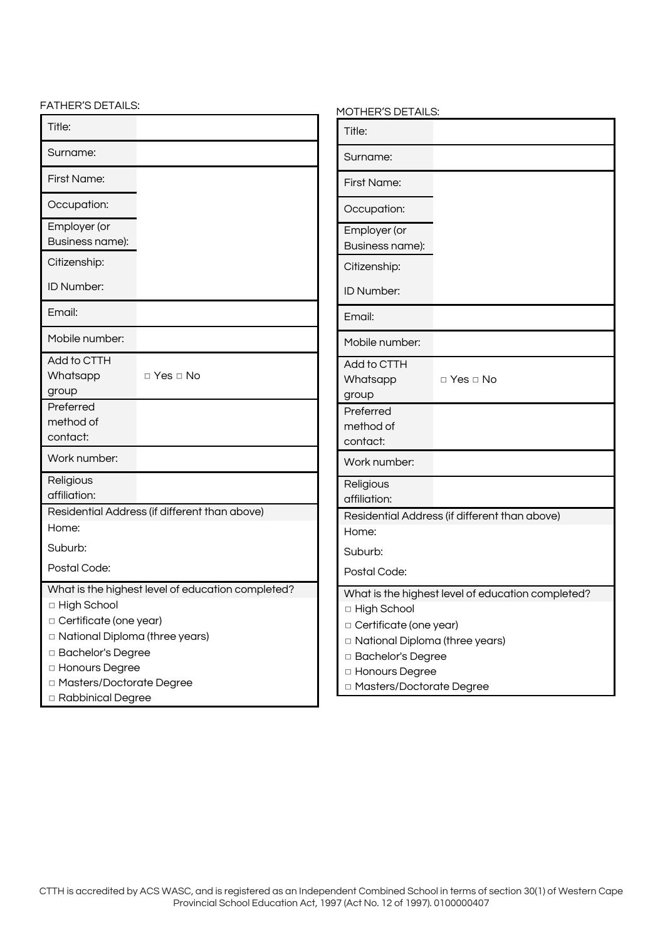FATHER'S DETAILS:

| -ATHER'S DETAILS:                                                                                                                                                                                                                         | MOTHER'S DETAILS:                                                                                                                                                                                           |  |
|-------------------------------------------------------------------------------------------------------------------------------------------------------------------------------------------------------------------------------------------|-------------------------------------------------------------------------------------------------------------------------------------------------------------------------------------------------------------|--|
| Title:                                                                                                                                                                                                                                    | Title:                                                                                                                                                                                                      |  |
| Surname:                                                                                                                                                                                                                                  | Surname:                                                                                                                                                                                                    |  |
| First Name:                                                                                                                                                                                                                               | First Name:                                                                                                                                                                                                 |  |
| Occupation:                                                                                                                                                                                                                               | Occupation:                                                                                                                                                                                                 |  |
| Employer (or<br>Business name):                                                                                                                                                                                                           | Employer (or<br>Business name):                                                                                                                                                                             |  |
| Citizenship:                                                                                                                                                                                                                              | Citizenship:                                                                                                                                                                                                |  |
| ID Number:                                                                                                                                                                                                                                | ID Number:                                                                                                                                                                                                  |  |
| Email:                                                                                                                                                                                                                                    | Email:                                                                                                                                                                                                      |  |
| Mobile number:                                                                                                                                                                                                                            | Mobile number:                                                                                                                                                                                              |  |
| Add to CTTH<br>Whatsapp<br>$\Box$ Yes $\Box$ No<br>group                                                                                                                                                                                  | Add to CTTH<br>Whatsapp<br>$\Box$ Yes $\Box$ No<br>group                                                                                                                                                    |  |
| Preferred<br>method of<br>contact:                                                                                                                                                                                                        | Preferred<br>method of<br>contact:                                                                                                                                                                          |  |
| Work number:                                                                                                                                                                                                                              | Work number:                                                                                                                                                                                                |  |
| Religious<br>affiliation:                                                                                                                                                                                                                 | Religious<br>affiliation:                                                                                                                                                                                   |  |
| Residential Address (if different than above)<br>Home:                                                                                                                                                                                    | Residential Address (if different than above)                                                                                                                                                               |  |
| Suburb:                                                                                                                                                                                                                                   | Home:<br>Suburb:                                                                                                                                                                                            |  |
| Postal Code:                                                                                                                                                                                                                              | Postal Code:                                                                                                                                                                                                |  |
| What is the highest level of education completed?<br>□ High School<br>□ Certificate (one year)<br>□ National Diploma (three years)<br>□ Bachelor's Degree<br>□ Honours Degree<br>□ Masters/Doctorate Degree<br><b>D</b> Rabbinical Degree | What is the highest level of education completed?<br>□ High School<br>□ Certificate (one year)<br>□ National Diploma (three years)<br>□ Bachelor's Degree<br>□ Honours Degree<br>□ Masters/Doctorate Degree |  |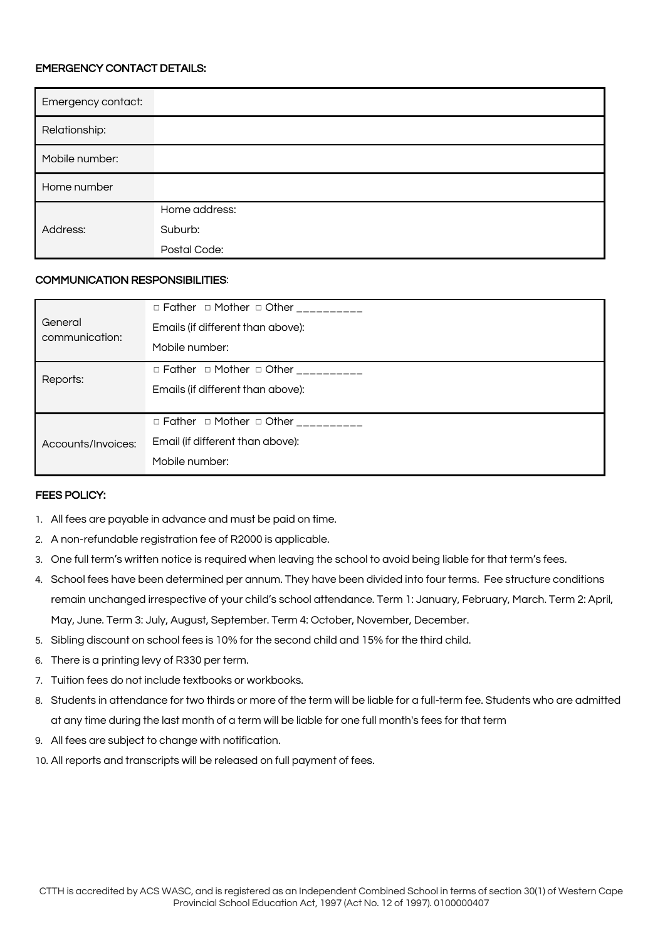## EMERGENCY CONTACT DETAILS:

| Emergency contact: |               |
|--------------------|---------------|
| Relationship:      |               |
| Mobile number:     |               |
| Home number        |               |
|                    | Home address: |
| Address:           | Suburb:       |
|                    | Postal Code:  |

### COMMUNICATION RESPONSIBILITIES:

|                           | □ Father □ Mother □ Other _________  |
|---------------------------|--------------------------------------|
| General<br>communication: | Emails (if different than above):    |
|                           | Mobile number:                       |
| Reports:                  | □ Father □ Mother □ Other __________ |
|                           | Emails (if different than above):    |
|                           |                                      |
|                           | □ Father □ Mother □ Other __________ |
| Accounts/Invoices:        | Email (if different than above):     |
|                           | Mobile number:                       |

#### FEES POLICY:

- 1. All fees are payable in advance and must be paid on time.
- 2. A non-refundable registration fee of R2000 is applicable.
- 3. One full term's written notice is required when leaving the school to avoid being liable for that term's fees.
- 4. School fees have been determined per annum. They have been divided into four terms. Fee structure conditions remain unchanged irrespective of your child's school attendance. Term 1: January, February, March. Term 2: April, May, June. Term 3: July, August, September. Term 4: October, November, December.
- 5. Sibling discount on school fees is 10% for the second child and 15% for the third child.
- 6. There is a printing levy of R330 per term.
- 7. Tuition fees do not include textbooks or workbooks.
- 8. Students in attendance for two thirds or more of the term will be liable for a full-term fee. Students who are admitted at any time during the last month of a term will be liable for one full month's fees for that term
- 9. All fees are subject to change with notification.
- 10. All reports and transcripts will be released on full payment of fees.